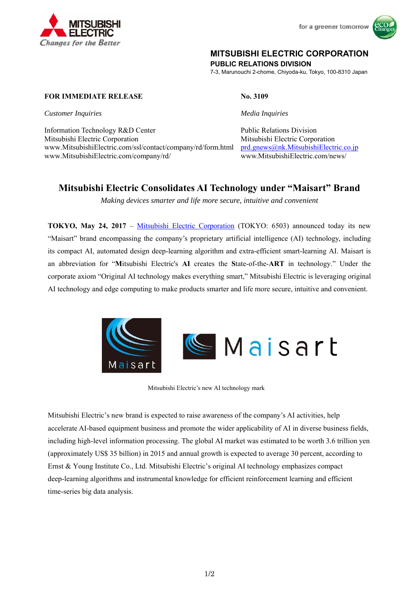

for a greener tomorrow



## **MITSUBISHI ELECTRIC CORPORATION**

**PUBLIC RELATIONS DIVISION** 

7-3, Marunouchi 2-chome, Chiyoda-ku, Tokyo, 100-8310 Japan

**FOR IMMEDIATE RELEASE No. 3109** 

*Customer Inquiries Media Inquiries*

Information Technology R&D Center Public Relations Division Mitsubishi Electric Corporation Mitsubishi Electric Corporation www.MitsubishiElectric.com/ssl/contact/company/rd/form.html prd.gnews@nk.MitsubishiElectric.co.jp www.MitsubishiElectric.com/company/rd/ www.MitsubishiElectric.com/news/

# **Mitsubishi Electric Consolidates AI Technology under "Maisart" Brand**

*Making devices smarter and life more secure, intuitive and convenient* 

**TOKYO, May 24, 2017** – Mitsubishi Electric Corporation (TOKYO: 6503) announced today its new "Maisart" brand encompassing the company's proprietary artificial intelligence (AI) technology, including its compact AI, automated design deep-learning algorithm and extra-efficient smart-learning AI. Maisart is an abbreviation for "**M**itsubishi Electric's **AI** creates the **S**tate-of-the-**ART** in technology." Under the corporate axiom "Original AI technology makes everything smart," Mitsubishi Electric is leveraging original AI technology and edge computing to make products smarter and life more secure, intuitive and convenient.





Mitsubishi Electric's new AI technology mark

Mitsubishi Electric's new brand is expected to raise awareness of the company's AI activities, help accelerate AI-based equipment business and promote the wider applicability of AI in diverse business fields, including high-level information processing. The global AI market was estimated to be worth 3.6 trillion yen (approximately US\$ 35 billion) in 2015 and annual growth is expected to average 30 percent, according to Ernst & Young Institute Co., Ltd. Mitsubishi Electric's original AI technology emphasizes compact deep-learning algorithms and instrumental knowledge for efficient reinforcement learning and efficient time-series big data analysis.